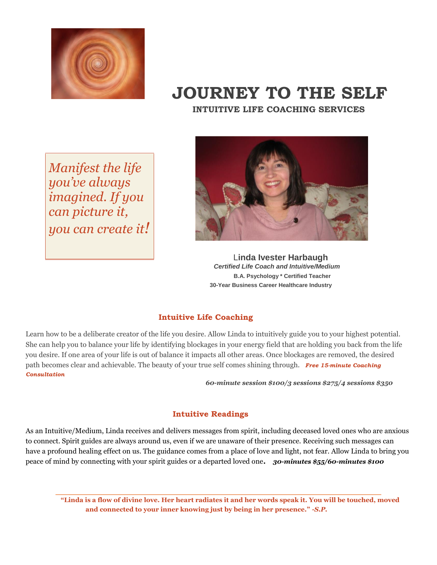

## **JOURNEY TO THE SELF**

 **INTUITIVE LIFE COACHING SERVICES** 

*Manifest the life you've always imagined. If you can picture it, you can create it!*



 L**inda Ivester Harbaugh** *Certified Life Coach and Intuitive/Medium* **B.A. Psychology \* Certified Teacher 30-Year Business Career Healthcare Industry**

## **Intuitive Life Coaching**

Learn how to be a deliberate creator of the life you desire. Allow Linda to intuitively guide you to your highest potential. She can help you to balance your life by identifying blockages in your energy field that are holding you back from the life you desire. If one area of your life is out of balance it impacts all other areas. Once blockages are removed, the desired path becomes clear and achievable. The beauty of your true self comes shining through. *Free 15-minute Coaching Consultation* 

*60-minute session \$100/3 sessions \$275/4 sessions \$350* 

## **Intuitive Readings**

As an Intuitive/Medium, Linda receives and delivers messages from spirit, including deceased loved ones who are anxious to connect. Spirit guides are always around us, even if we are unaware of their presence. Receiving such messages can have a profound healing effect on us. The guidance comes from a place of love and light, not fear. Allow Linda to bring you peace of mind by connecting with your spirit guides or a departed loved one**.** *30-minutes \$55/60-minutes \$100* 

**"Linda is a flow of divine love. Her heart radiates it and her words speak it. You will be touched, moved and connected to your inner knowing just by being in her presence."** *-S.P.*